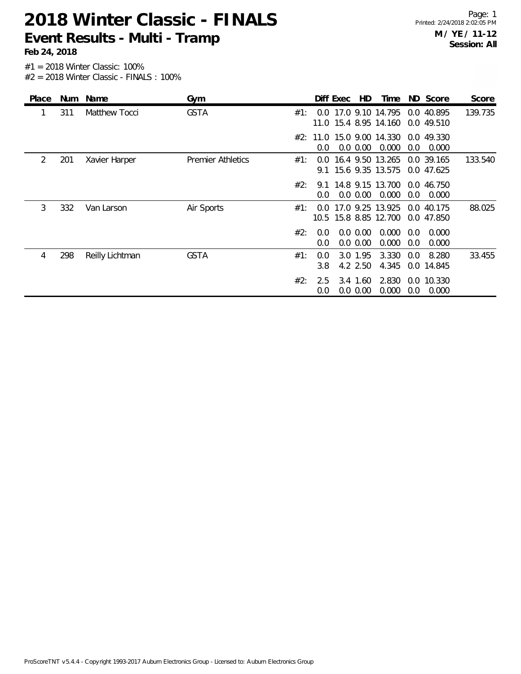| Place | <b>Num</b> | Name            | Gym                      | HD<br>ND Score<br>Time<br>Diff Exec<br>Score                                                                |
|-------|------------|-----------------|--------------------------|-------------------------------------------------------------------------------------------------------------|
|       | 311        | Matthew Tocci   | <b>GSTA</b>              | 17.0 9.10 14.795<br>0.0 40.895<br>139.735<br>#1:<br>$0.0^{-}$<br>11.0 15.4 8.95 14.160<br>0.0 49.510        |
|       |            |                 |                          | #2: 11.0 15.0 9.00 14.330 0.0 49.330<br>0.0 0.00<br>0.000<br>0.0<br>$0.0^{\circ}$<br>0.000                  |
| 2     | 201        | Xavier Harper   | <b>Premier Athletics</b> | 16.4 9.50 13.265 0.0 39.165<br>133.540<br>#1:<br>$0.0^{\circ}$<br>9.1 15.6 9.35 13.575<br>0.0 47.625        |
|       |            |                 |                          | #2:<br>14.8 9.15 13.700<br>0.0 46.750<br>9.1<br>0.0<br>$0.0\,0.00$<br>0.000<br>0.0<br>0.000                 |
| 3     | 332        | Van Larson      | Air Sports               | 17.0 9.25 13.925<br>88.025<br>#1:<br>40.175<br>0.0<br>0.0<br>15.8 8.85 12.700<br>10.5<br>0.0 47.850         |
|       |            |                 |                          | #2:<br>$0.0\,0.00$<br>0.000<br>0.0<br>0.000<br>0.0 <sub>1</sub><br>0.0 0.00<br>0.000<br>0.0<br>0.000<br>0.0 |
| 4     | 298        | Reilly Lichtman | <b>GSTA</b>              | 3.330<br>33.455<br>#1:<br>3.0 1.95<br>8.280<br>0.0<br>0.0<br>4.2 2.50<br>4.345<br>3.8<br>0.0 14.845         |
|       |            |                 |                          | #2:<br>2.830<br>3.4 1.60<br>0.0 10.330<br>2.5<br>$0.0\ 0.00$<br>0.000<br>0.000<br>0.0<br>0.0                |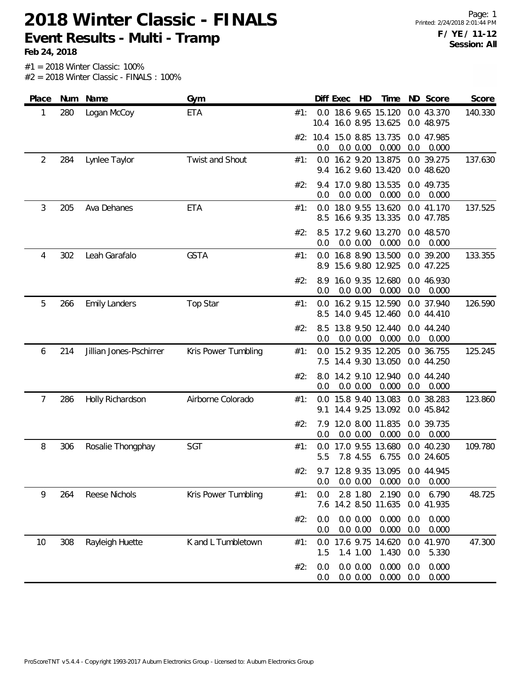**Feb 24, 2018**

Page: 1 Printed: 2/24/2018 2:01:44 PM **F / YE / 11-12 Session: All**

| Place |     | Num Name                | Gym                 |     |            | Diff Exec | HD                   | Time                                          |            | ND Score                 | Score   |
|-------|-----|-------------------------|---------------------|-----|------------|-----------|----------------------|-----------------------------------------------|------------|--------------------------|---------|
| 1     | 280 | Logan McCoy             | <b>ETA</b>          | #1: |            |           |                      | 0.0 18.6 9.65 15.120<br>10.4 16.0 8.95 13.625 |            | 0.0 43.370<br>0.0 48.975 | 140.330 |
|       |     |                         |                     |     | 0.0        |           | 0.0 0.00             | #2: 10.4 15.0 8.85 13.735<br>0.000            | 0.0        | 0.0 47.985<br>0.000      |         |
| 2     | 284 | Lynlee Taylor           | Twist and Shout     | #1: | 9.4        |           |                      | 0.0 16.2 9.20 13.875<br>16.2 9.60 13.420      |            | 0.0 39.275<br>0.0 48.620 | 137.630 |
|       |     |                         |                     | #2: | 9.4<br>0.0 |           | 0.0 0.00             | 17.0 9.80 13.535<br>0.000                     | 0.0        | 0.0 49.735<br>0.000      |         |
| 3     | 205 | Ava Dehanes             | <b>ETA</b>          | #1: | 0.0        |           |                      | 18.0 9.55 13.620<br>8.5 16.6 9.35 13.335      |            | 0.0 41.170<br>0.0 47.785 | 137.525 |
|       |     |                         |                     | #2: | 8.5<br>0.0 |           | 0.0 0.00             | 17.2 9.60 13.270<br>0.000                     | 0.0        | 0.0 48.570<br>0.000      |         |
| 4     | 302 | Leah Garafalo           | <b>GSTA</b>         | #1: |            |           |                      | 0.0 16.8 8.90 13.500<br>8.9 15.6 9.80 12.925  |            | 0.0 39.200<br>0.0 47.225 | 133.355 |
|       |     |                         |                     | #2: | 0.0        |           | 0.0 0.00             | 8.9 16.0 9.35 12.680<br>0.000                 | 0.0        | 0.0 46.930<br>0.000      |         |
| 5     | 266 | <b>Emily Landers</b>    | <b>Top Star</b>     | #1: | 8.5        |           |                      | 0.0 16.2 9.15 12.590<br>14.0 9.45 12.460      |            | 0.0 37.940<br>0.0 44.410 | 126.590 |
|       |     |                         |                     | #2: | 8.5<br>0.0 |           | 0.0 0.00             | 13.8 9.50 12.440<br>0.000                     | 0.0        | 0.0 44.240<br>0.000      |         |
| 6     | 214 | Jillian Jones-Pschirrer | Kris Power Tumbling | #1: |            |           |                      | 0.0 15.2 9.35 12.205<br>7.5 14.4 9.30 13.050  |            | 0.0 36.755<br>0.0 44.250 | 125.245 |
|       |     |                         |                     | #2: | 8.0<br>0.0 |           | 0.0 0.00             | 14.2 9.10 12.940<br>0.000                     | 0.0        | 0.0 44.240<br>0.000      |         |
| 7     | 286 | Holly Richardson        | Airborne Colorado   | #1: | 0.0<br>9.1 |           |                      | 15.8 9.40 13.083<br>14.4 9.25 13.092          |            | 0.0 38.283<br>0.0 45.842 | 123.860 |
|       |     |                         |                     | #2: | 0.0        |           | 0.0 0.00             | 7.9 12.0 8.00 11.835<br>0.000                 | 0.0        | 0.0 39.735<br>0.000      |         |
| 8     | 306 | Rosalie Thongphay       | SGT                 | #1: | 0.0<br>5.5 |           | 7.8 4.55             | 17.0 9.55 13.680<br>6.755                     |            | 0.0 40.230<br>0.0 24.605 | 109.780 |
|       |     |                         |                     | #2: | 0.0        |           | 0.0 0.00             | 9.7 12.8 9.35 13.095 0.0 44.945<br>0.000      | 0.0        | 0.000                    |         |
| 9     | 264 | Reese Nichols           | Kris Power Tumbling | #1: | 0.0<br>7.6 |           | 2.8 1.80             | 2.190<br>14.2 8.50 11.635                     | 0.0        | 6.790<br>0.0 41.935      | 48.725  |
|       |     |                         |                     | #2: | 0.0<br>0.0 |           | 0.0 0.00<br>0.0 0.00 | 0.000<br>0.000                                | 0.0<br>0.0 | 0.000<br>0.000           |         |
| 10    | 308 | Rayleigh Huette         | K and L Tumbletown  | #1: | 0.0<br>1.5 |           | 1.4 1.00             | 17.6 9.75 14.620<br>1.430                     | 0.0        | 0.0 41.970<br>5.330      | 47.300  |
|       |     |                         |                     | #2: | 0.0<br>0.0 |           | 0.0 0.00<br>0.0 0.00 | 0.000<br>0.000                                | 0.0<br>0.0 | 0.000<br>0.000           |         |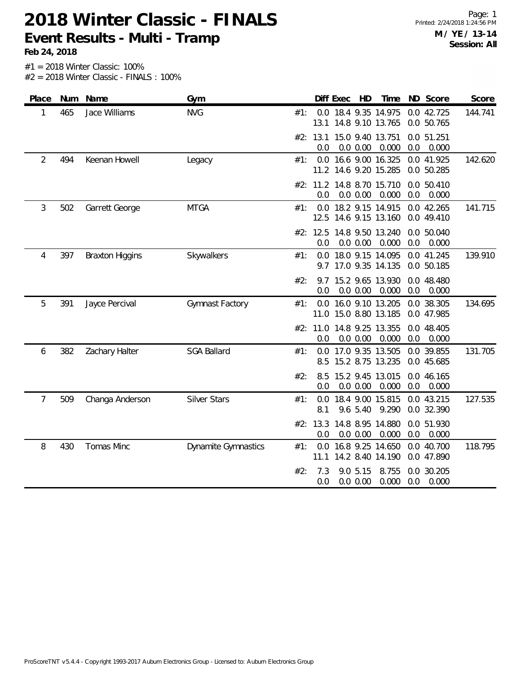**Feb 24, 2018**

| Place          |     | Num Name               | Gym                        |     |                 | Diff Exec | HD                   | Time                                          |     | ND Score                 | Score   |
|----------------|-----|------------------------|----------------------------|-----|-----------------|-----------|----------------------|-----------------------------------------------|-----|--------------------------|---------|
| 1              | 465 | Jace Williams          | <b>NVG</b>                 | #1: | 13.1            |           |                      | 0.0 18.4 9.35 14.975<br>14.8 9.10 13.765      |     | 0.0 42.725<br>0.0 50.765 | 144.741 |
|                |     |                        |                            |     | #2: 13.1<br>0.0 |           | 0.0 0.00             | 15.0 9.40 13.751<br>0.000                     | 0.0 | 0.0 51.251<br>0.000      |         |
| $\overline{2}$ | 494 | Keenan Howell          | Legacy                     | #1: |                 |           |                      | 0.0 16.6 9.00 16.325<br>11.2 14.6 9.20 15.285 |     | 0.0 41.925<br>0.0 50.285 | 142.620 |
|                |     |                        |                            |     | 0.0             |           | 0.0 0.00             | #2: 11.2 14.8 8.70 15.710<br>0.000            | 0.0 | 0.0 50.410<br>0.000      |         |
| 3              | 502 | Garrett George         | <b>MTGA</b>                | #1: | 12.5            |           |                      | 0.0 18.2 9.15 14.915<br>14.6 9.15 13.160      |     | 0.0 42.265<br>0.0 49.410 | 141.715 |
|                |     |                        |                            |     | #2: 12.5<br>0.0 |           | 0.0 0.00             | 14.8 9.50 13.240<br>0.000                     | 0.0 | 0.0 50.040<br>0.000      |         |
| 4              | 397 | <b>Braxton Higgins</b> | Skywalkers                 | #1: | 0.0<br>9.7      |           |                      | 18.0 9.15 14.095<br>17.0 9.35 14.135          |     | 0.0 41.245<br>0.0 50.185 | 139.910 |
|                |     |                        |                            | #2: | 9.7<br>0.0      |           | 0.0 0.00             | 15.2 9.65 13.930<br>0.000                     | 0.0 | 0.0 48.480<br>0.000      |         |
| 5              | 391 | Jayce Percival         | Gymnast Factory            | #1: | 0.0             |           |                      | 16.0 9.10 13.205<br>11.0 15.0 8.80 13.185     |     | 0.0 38.305<br>0.0 47.985 | 134.695 |
|                |     |                        |                            |     | #2: 11.0<br>0.0 |           | 0.0 0.00             | 14.8 9.25 13.355<br>0.000                     | 0.0 | 0.0 48.405<br>0.000      |         |
| 6              | 382 | Zachary Halter         | <b>SGA Ballard</b>         | #1: | 0.0<br>8.5      |           |                      | 17.0 9.35 13.505<br>15.2 8.75 13.235          |     | 0.0 39.855<br>0.0 45.685 | 131.705 |
|                |     |                        |                            | #2: | 8.5<br>0.0      |           | 0.0 0.00             | 15.2 9.45 13.015<br>0.000                     | 0.0 | 0.0 46.165<br>0.000      |         |
| 7              | 509 | Changa Anderson        | <b>Silver Stars</b>        | #1: | 0.0<br>8.1      |           | 9.6 5.40             | 18.4 9.00 15.815<br>9.290                     |     | 0.0 43.215<br>0.0 32.390 | 127.535 |
|                |     |                        |                            |     | #2: 13.3<br>0.0 |           | 0.0 0.00             | 14.8 8.95 14.880<br>0.000                     | 0.0 | 0.0 51.930<br>0.000      |         |
| 8              | 430 | Tomas Minc             | <b>Dynamite Gymnastics</b> | #1: | 0.0<br>11.1     |           |                      | 16.8 9.25 14.650<br>14.2 8.40 14.190          |     | 0.0 40.700<br>0.0 47.890 | 118.795 |
|                |     |                        |                            | #2: | 7.3<br>0.0      |           | 9.0 5.15<br>0.0 0.00 | 8.755<br>0.000                                | 0.0 | 0.0 30.205<br>0.000      |         |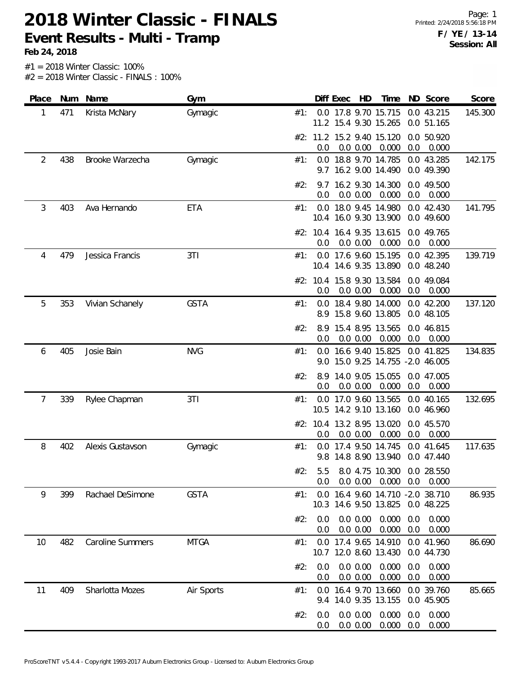**Feb 24, 2018**

Page: 1 Printed: 2/24/2018 5:56:18 PM **F / YE / 13-14 Session: All**

| Place          | Num | Name                    | Gym         |     |            | Diff Exec | HD                   | Time                                                      |            | ND Score                 | Score   |
|----------------|-----|-------------------------|-------------|-----|------------|-----------|----------------------|-----------------------------------------------------------|------------|--------------------------|---------|
| 1              | 471 | Krista McNary           | Gymagic     | #1: |            |           |                      | 0.0 17.8 9.70 15.715<br>11.2 15.4 9.30 15.265             |            | 0.0 43.215<br>0.0 51.165 | 145.300 |
|                |     |                         |             |     | 0.0        |           | 0.0 0.00             | #2: 11.2 15.2 9.40 15.120<br>0.000                        | 0.0        | 0.0 50.920<br>0.000      |         |
| $\overline{2}$ | 438 | Brooke Warzecha         | Gymagic     | #1: |            |           |                      | 0.0 18.8 9.70 14.785<br>9.7 16.2 9.00 14.490              |            | 0.0 43.285<br>0.0 49.390 | 142.175 |
|                |     |                         |             | #2: | 9.7<br>0.0 |           | 0.0 0.00             | 16.2 9.30 14.300<br>0.000                                 | 0.0        | 0.0 49.500<br>0.000      |         |
| 3              | 403 | Ava Hernando            | ETA         | #1: | 0.0        |           |                      | 18.0 9.45 14.980<br>10.4 16.0 9.30 13.900                 |            | 0.0 42.430<br>0.0 49.600 | 141.795 |
|                |     |                         |             |     | 0.0        |           | 0.0 0.00             | #2: 10.4 16.4 9.35 13.615<br>0.000                        | 0.0        | 0.0 49.765<br>0.000      |         |
| 4              | 479 | Jessica Francis         | 3T1         | #1: |            |           |                      | 0.0 17.6 9.60 15.195<br>10.4 14.6 9.35 13.890             |            | 0.0 42.395<br>0.0 48.240 | 139.719 |
|                |     |                         |             |     | 0.0        |           | 0.0 0.00             | #2: 10.4 15.8 9.30 13.584<br>0.000                        | 0.0        | 0.0 49.084<br>0.000      |         |
| 5              | 353 | Vivian Schanely         | <b>GSTA</b> | #1: |            |           |                      | 0.0 18.4 9.80 14.000<br>8.9 15.8 9.60 13.805              |            | 0.0 42.200<br>0.0 48.105 | 137.120 |
|                |     |                         |             | #2: | 8.9<br>0.0 |           | 0.0 0.00             | 15.4 8.95 13.565<br>0.000                                 | 0.0        | 0.0 46.815<br>0.000      |         |
| 6              | 405 | Josie Bain              | <b>NVG</b>  | #1: |            |           |                      | 0.0 16.6 9.40 15.825<br>9.0 15.0 9.25 14.755 -2.0 46.005  |            | 0.0 41.825               | 134.835 |
|                |     |                         |             | #2: | 8.9<br>0.0 |           | 0.0 0.00             | 14.0 9.05 15.055<br>0.000                                 | 0.0        | 0.0 47.005<br>0.000      |         |
| 7              | 339 | Rylee Chapman           | 3T1         | #1: |            |           |                      | 0.0 17.0 9.60 13.565<br>10.5 14.2 9.10 13.160             |            | 0.0 40.165<br>0.0 46.960 | 132.695 |
|                |     |                         |             |     | 0.0        |           | 0.0 0.00             | #2: 10.4 13.2 8.95 13.020<br>0.000                        | 0.0        | 0.0 45.570<br>0.000      |         |
| 8              | 402 | Alexis Gustavson        | Gymagic     | #1: | 0.0<br>9.8 |           |                      | 17.4 9.50 14.745<br>14.8 8.90 13.940                      |            | 0.0 41.645<br>0.0 47.440 | 117.635 |
|                |     |                         |             | #2: | 5.5<br>0.0 |           | 0.0 0.00             | 8.0 4.75 10.300 0.0 28.550<br>0.000                       | 0.0        | 0.000                    |         |
| 9              | 399 | Rachael DeSimone        | <b>GSTA</b> | #1: |            |           |                      | 0.0 16.4 9.60 14.710 -2.0 38.710<br>10.3 14.6 9.50 13.825 |            | 0.0 48.225               | 86.935  |
|                |     |                         |             | #2: | 0.0<br>0.0 |           | 0.0 0.00<br>0.0 0.00 | 0.000<br>0.000                                            | 0.0<br>0.0 | 0.000<br>0.000           |         |
| 10             | 482 | <b>Caroline Summers</b> | <b>MTGA</b> | #1: | 0.0        |           |                      | 17.4 9.65 14.910<br>10.7 12.0 8.60 13.430                 |            | 0.0 41.960<br>0.0 44.730 | 86.690  |
|                |     |                         |             | #2: | 0.0<br>0.0 |           | 0.0 0.00<br>0.0 0.00 | 0.000<br>0.000                                            | 0.0<br>0.0 | 0.000<br>0.000           |         |
| 11             | 409 | Sharlotta Mozes         | Air Sports  | #1: | 0.0<br>9.4 |           |                      | 16.4 9.70 13.660<br>14.0 9.35 13.155                      |            | 0.0 39.760<br>0.0 45.905 | 85.665  |
|                |     |                         |             | #2: | 0.0<br>0.0 |           | 0.0 0.00<br>0.0 0.00 | 0.000<br>0.000                                            | 0.0<br>0.0 | 0.000<br>0.000           |         |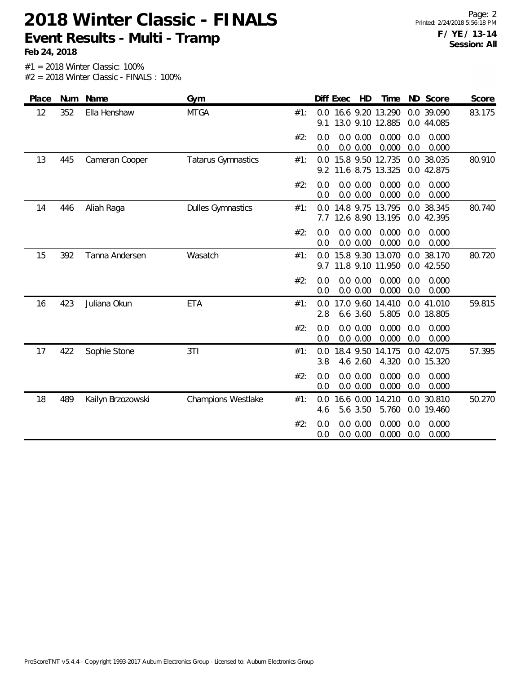**Feb 24, 2018**

| Num<br>Name<br>Place           | Gym                       |     |            | Diff Exec | HD                   | Time                                 |            | ND Score                 | Score  |
|--------------------------------|---------------------------|-----|------------|-----------|----------------------|--------------------------------------|------------|--------------------------|--------|
| 12<br>352<br>Ella Henshaw      | <b>MTGA</b>               | #1: | 0.0<br>9.1 |           |                      | 16.6 9.20 13.290<br>13.0 9.10 12.885 |            | 0.0 39.090<br>0.0 44.085 | 83.175 |
|                                |                           | #2: | 0.0<br>0.0 |           | 0.0 0.00<br>0.0 0.00 | 0.000<br>0.000                       | 0.0<br>0.0 | 0.000<br>0.000           |        |
| 13<br>445<br>Cameran Cooper    | <b>Tatarus Gymnastics</b> | #1: | 0.0<br>9.2 |           |                      | 15.8 9.50 12.735<br>11.6 8.75 13.325 |            | 0.0 38.035<br>0.0 42.875 | 80.910 |
|                                |                           | #2: | 0.0<br>0.0 |           | 0.0 0.00<br>0.0 0.00 | 0.000<br>0.000                       | 0.0<br>0.0 | 0.000<br>0.000           |        |
| 14<br>446<br>Aliah Raga        | <b>Dulles Gymnastics</b>  | #1: | 0.0<br>7.7 |           |                      | 14.8 9.75 13.795<br>12.6 8.90 13.195 |            | 0.0 38.345<br>0.0 42.395 | 80.740 |
|                                |                           | #2: | 0.0<br>0.0 |           | 0.0 0.00<br>0.0 0.00 | 0.000<br>0.000                       | 0.0<br>0.0 | 0.000<br>0.000           |        |
| 15<br>392<br>Tanna Andersen    | Wasatch                   | #1: | 0.0<br>9.7 |           |                      | 15.8 9.30 13.070<br>11.8 9.10 11.950 |            | 0.0 38.170<br>0.0 42.550 | 80.720 |
|                                |                           | #2: | 0.0<br>0.0 |           | 0.0 0.00<br>0.0 0.00 | 0.000<br>0.000                       | 0.0<br>0.0 | 0.000<br>0.000           |        |
| 423<br>16<br>Juliana Okun      | <b>ETA</b>                | #1: | 0.0<br>2.8 |           | 6.6 3.60             | 17.0 9.60 14.410<br>5.805            |            | 0.0 41.010<br>0.0 18.805 | 59.815 |
|                                |                           | #2: | 0.0<br>0.0 |           | 0.0 0.00<br>0.0 0.00 | 0.000<br>0.000                       | 0.0<br>0.0 | 0.000<br>0.000           |        |
| 422<br>17<br>Sophie Stone      | 3T1                       | #1: | 0.0<br>3.8 |           | 4.6 2.60             | 18.4 9.50 14.175<br>4.320            |            | 0.0 42.075<br>0.0 15.320 | 57.395 |
|                                |                           | #2: | 0.0<br>0.0 |           | 0.0 0.00<br>0.0 0.00 | 0.000<br>0.000                       | 0.0<br>0.0 | 0.000<br>0.000           |        |
| 489<br>18<br>Kailyn Brzozowski | <b>Champions Westlake</b> | #1: | 0.0<br>4.6 |           | 5.6 3.50             | 16.6 0.00 14.210<br>5.760            |            | 0.0 30.810<br>0.0 19.460 | 50.270 |
|                                |                           | #2: | 0.0<br>0.0 |           | 0.0 0.00<br>0.0 0.00 | 0.000<br>0.000                       | 0.0<br>0.0 | 0.000<br>0.000           |        |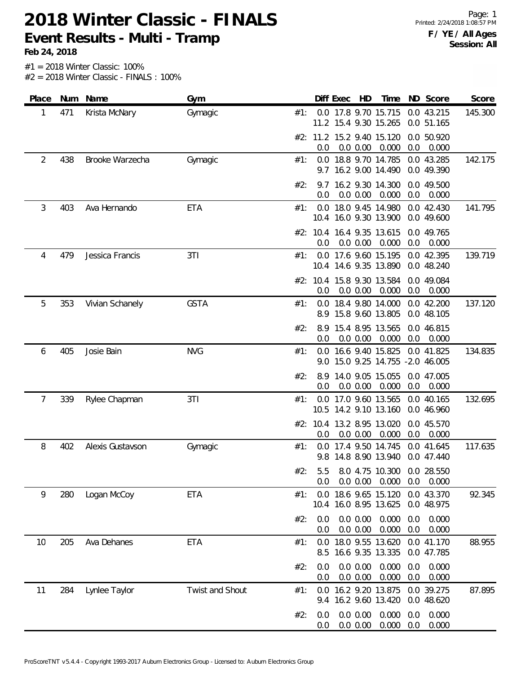**Feb 24, 2018**

Page: 1 Printed: 2/24/2018 1:08:57 PM **F / YE / All Ages Session: All**

| Place | Num | Name             | Gym             |     |            | Diff Exec | HD                   | Time                                                     |            | ND Score                 | Score   |
|-------|-----|------------------|-----------------|-----|------------|-----------|----------------------|----------------------------------------------------------|------------|--------------------------|---------|
| 1     | 471 | Krista McNary    | Gymagic         | #1: |            |           |                      | 0.0 17.8 9.70 15.715<br>11.2 15.4 9.30 15.265            |            | 0.0 43.215<br>0.0 51.165 | 145.300 |
|       |     |                  |                 |     | 0.0        |           | 0.0 0.00             | #2: 11.2 15.2 9.40 15.120<br>0.000                       | 0.0        | 0.0 50.920<br>0.000      |         |
| 2     | 438 | Brooke Warzecha  | Gymagic         | #1: |            |           |                      | 0.0 18.8 9.70 14.785<br>9.7 16.2 9.00 14.490             |            | 0.0 43.285<br>0.0 49.390 | 142.175 |
|       |     |                  |                 | #2: | 9.7<br>0.0 |           | 0.0 0.00             | 16.2 9.30 14.300<br>0.000                                | 0.0        | 0.0 49.500<br>0.000      |         |
| 3     | 403 | Ava Hernando     | ETA             | #1: |            |           |                      | 0.0 18.0 9.45 14.980<br>10.4 16.0 9.30 13.900            |            | 0.0 42.430<br>0.0 49.600 | 141.795 |
|       |     |                  |                 |     | 0.0        |           | 0.0 0.00             | #2: 10.4 16.4 9.35 13.615<br>0.000                       | 0.0        | 0.0 49.765<br>0.000      |         |
| 4     | 479 | Jessica Francis  | 3T1             | #1: |            |           |                      | 0.0 17.6 9.60 15.195<br>10.4 14.6 9.35 13.890            |            | 0.0 42.395<br>0.0 48.240 | 139.719 |
|       |     |                  |                 |     | 0.0        |           | 0.0 0.00             | #2: 10.4 15.8 9.30 13.584<br>0.000                       | 0.0        | 0.0 49.084<br>0.000      |         |
| 5     | 353 | Vivian Schanely  | <b>GSTA</b>     | #1: | 8.9        |           |                      | 0.0 18.4 9.80 14.000<br>15.8 9.60 13.805                 |            | 0.0 42.200<br>0.0 48.105 | 137.120 |
|       |     |                  |                 | #2: | 0.0        |           | 0.0 0.00             | 8.9 15.4 8.95 13.565<br>0.000                            | 0.0        | 0.0 46.815<br>0.000      |         |
| 6     | 405 | Josie Bain       | <b>NVG</b>      | #1: |            |           |                      | 0.0 16.6 9.40 15.825<br>9.0 15.0 9.25 14.755 -2.0 46.005 |            | 0.0 41.825               | 134.835 |
|       |     |                  |                 | #2: | 8.9<br>0.0 |           | 0.0 0.00             | 14.0 9.05 15.055<br>0.000                                | 0.0        | 0.0 47.005<br>0.000      |         |
| 7     | 339 | Rylee Chapman    | 3T1             | #1: |            |           |                      | 0.0 17.0 9.60 13.565<br>10.5 14.2 9.10 13.160            |            | 0.0 40.165<br>0.0 46.960 | 132.695 |
|       |     |                  |                 |     | 0.0        |           | 0.0 0.00             | #2: 10.4 13.2 8.95 13.020<br>0.000                       | 0.0        | 0.0 45.570<br>0.000      |         |
| 8     | 402 | Alexis Gustavson | Gymagic         | #1: | 0.0<br>9.8 |           |                      | 17.4 9.50 14.745<br>14.8 8.90 13.940                     |            | 0.0 41.645<br>0.0 47.440 | 117.635 |
|       |     |                  |                 | #2: | 5.5<br>0.0 |           | 0.0 0.00             | 8.0 4.75 10.300 0.0 28.550<br>0.000                      | 0.0        | 0.000                    |         |
| 9     | 280 | Logan McCoy      | <b>ETA</b>      | #1: |            |           |                      | 0.0 18.6 9.65 15.120<br>10.4 16.0 8.95 13.625            |            | 0.0 43.370<br>0.0 48.975 | 92.345  |
|       |     |                  |                 | #2: | 0.0<br>0.0 |           | 0.0 0.00<br>0.0 0.00 | 0.000<br>0.000                                           | 0.0<br>0.0 | 0.000<br>0.000           |         |
| 10    | 205 | Ava Dehanes      | <b>ETA</b>      | #1: | 0.0<br>8.5 |           |                      | 18.0 9.55 13.620<br>16.6 9.35 13.335                     |            | 0.0 41.170<br>0.0 47.785 | 88.955  |
|       |     |                  |                 | #2: | 0.0<br>0.0 |           | 0.0 0.00<br>0.0 0.00 | 0.000<br>0.000                                           | 0.0<br>0.0 | 0.000<br>0.000           |         |
| 11    | 284 | Lynlee Taylor    | Twist and Shout | #1: | 0.0<br>9.4 |           |                      | 16.2 9.20 13.875<br>16.2 9.60 13.420                     |            | 0.0 39.275<br>0.0 48.620 | 87.895  |
|       |     |                  |                 | #2: | 0.0<br>0.0 |           | 0.0 0.00<br>0.0 0.00 | 0.000<br>0.000                                           | 0.0<br>0.0 | 0.000<br>0.000           |         |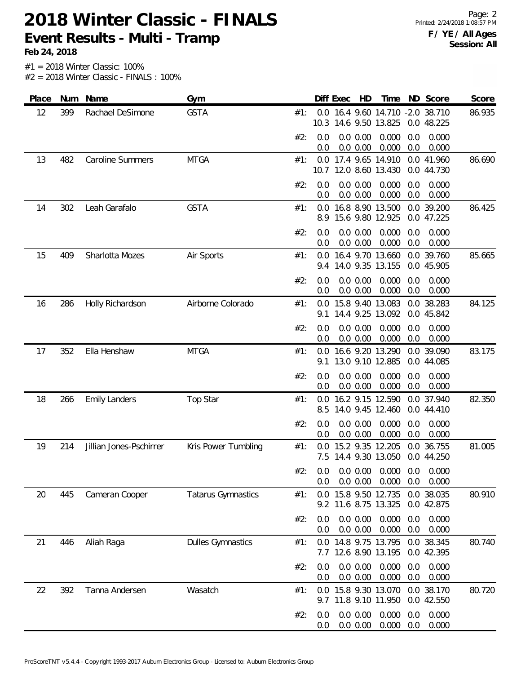**Feb 24, 2018**

| Place | Num | Name                    | Gym                       |     |            | Diff Exec | HD                   | Time                                                      |            | ND Score                 | Score  |
|-------|-----|-------------------------|---------------------------|-----|------------|-----------|----------------------|-----------------------------------------------------------|------------|--------------------------|--------|
| 12    | 399 | Rachael DeSimone        | <b>GSTA</b>               | #1: |            |           |                      | 0.0 16.4 9.60 14.710 -2.0 38.710<br>10.3 14.6 9.50 13.825 |            | 0.0 48.225               | 86.935 |
|       |     |                         |                           | #2: | 0.0<br>0.0 |           | 0.0 0.00<br>0.0 0.00 | 0.000<br>0.000                                            | 0.0<br>0.0 | 0.000<br>0.000           |        |
| 13    | 482 | <b>Caroline Summers</b> | <b>MTGA</b>               | #1: |            |           |                      | 0.0 17.4 9.65 14.910<br>10.7 12.0 8.60 13.430             |            | 0.0 41.960<br>0.0 44.730 | 86.690 |
|       |     |                         |                           | #2: | 0.0<br>0.0 |           | 0.0 0.00<br>0.0 0.00 | 0.000<br>0.000                                            | 0.0<br>0.0 | 0.000<br>0.000           |        |
| 14    | 302 | Leah Garafalo           | <b>GSTA</b>               | #1: | 0.0<br>8.9 |           |                      | 16.8 8.90 13.500<br>15.6 9.80 12.925                      |            | 0.0 39.200<br>0.0 47.225 | 86.425 |
|       |     |                         |                           | #2: | 0.0<br>0.0 |           | 0.0 0.00<br>0.0 0.00 | 0.000<br>0.000                                            | 0.0<br>0.0 | 0.000<br>0.000           |        |
| 15    | 409 | Sharlotta Mozes         | Air Sports                | #1: | 0.0<br>9.4 |           |                      | 16.4 9.70 13.660<br>14.0 9.35 13.155                      |            | 0.0 39.760<br>0.0 45.905 | 85.665 |
|       |     |                         |                           | #2: | 0.0<br>0.0 |           | 0.0 0.00<br>0.0 0.00 | 0.000<br>0.000                                            | 0.0<br>0.0 | 0.000<br>0.000           |        |
| 16    | 286 | Holly Richardson        | Airborne Colorado         | #1: | 0.0<br>9.1 |           |                      | 15.8 9.40 13.083<br>14.4 9.25 13.092                      |            | 0.0 38.283<br>0.0 45.842 | 84.125 |
|       |     |                         |                           | #2: | 0.0<br>0.0 |           | 0.0 0.00<br>0.0 0.00 | 0.000<br>0.000                                            | 0.0<br>0.0 | 0.000<br>0.000           |        |
| 17    | 352 | Ella Henshaw            | <b>MTGA</b>               | #1: | 0.0<br>9.1 |           |                      | 16.6 9.20 13.290<br>13.0 9.10 12.885                      |            | 0.0 39.090<br>0.0 44.085 | 83.175 |
|       |     |                         |                           | #2: | 0.0<br>0.0 |           | 0.0 0.00<br>0.0 0.00 | 0.000<br>0.000                                            | 0.0<br>0.0 | 0.000<br>0.000           |        |
| 18    | 266 | <b>Emily Landers</b>    | <b>Top Star</b>           | #1: | 0.0<br>8.5 |           |                      | 16.2 9.15 12.590<br>14.0 9.45 12.460                      |            | 0.0 37.940<br>0.0 44.410 | 82.350 |
|       |     |                         |                           | #2: | 0.0<br>0.0 |           | 0.0 0.00<br>0.0 0.00 | 0.000<br>0.000                                            | 0.0<br>0.0 | 0.000<br>0.000           |        |
| 19    | 214 | Jillian Jones-Pschirrer | Kris Power Tumbling       | #1: | 0.0<br>7.5 |           |                      | 15.2 9.35 12.205<br>14.4 9.30 13.050                      |            | 0.0 36.755<br>0.0 44.250 | 81.005 |
|       |     |                         |                           | #2: | 0.0<br>0.0 |           | 0.0 0.00<br>0.0 0.00 | 0.000<br>0.000                                            | 0.0<br>0.0 | 0.000<br>0.000           |        |
| 20    | 445 | Cameran Cooper          | <b>Tatarus Gymnastics</b> | #1: | 0.0        |           |                      | 15.8 9.50 12.735<br>9.2 11.6 8.75 13.325                  |            | 0.0 38.035<br>0.0 42.875 | 80.910 |
|       |     |                         |                           | #2: | 0.0<br>0.0 |           | 0.0 0.00<br>0.0 0.00 | 0.000<br>0.000                                            | 0.0<br>0.0 | 0.000<br>0.000           |        |
| 21    | 446 | Aliah Raga              | <b>Dulles Gymnastics</b>  | #1: | 7.7        |           |                      | 0.0 14.8 9.75 13.795<br>12.6 8.90 13.195                  |            | 0.0 38.345<br>0.0 42.395 | 80.740 |
|       |     |                         |                           | #2: | 0.0<br>0.0 |           | 0.0 0.00<br>0.0 0.00 | 0.000<br>0.000                                            | 0.0<br>0.0 | 0.000<br>0.000           |        |
| 22    | 392 | Tanna Andersen          | Wasatch                   | #1: | 0.0<br>9.7 |           |                      | 15.8 9.30 13.070<br>11.8 9.10 11.950                      |            | 0.0 38.170<br>0.0 42.550 | 80.720 |
|       |     |                         |                           | #2: | 0.0<br>0.0 |           | 0.0 0.00<br>0.0 0.00 | 0.000<br>0.000                                            | 0.0<br>0.0 | 0.000<br>0.000           |        |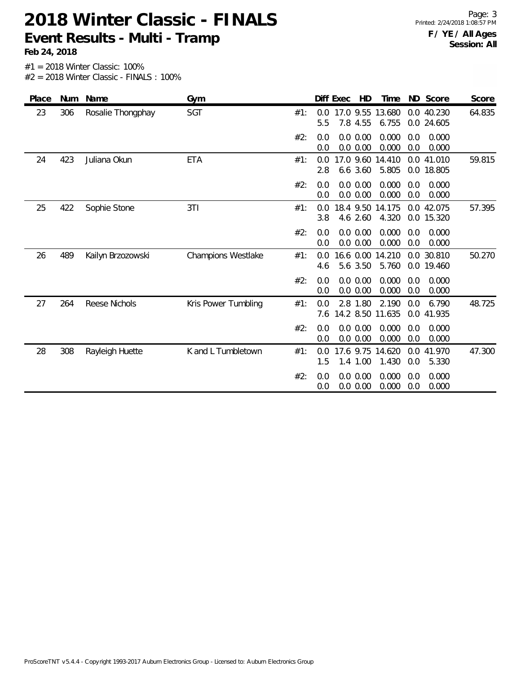**Feb 24, 2018**

| Place | Num | Name              | Gym                 |     | ND Score<br>Diff Exec<br>HD<br>Time<br>Score                                                           |
|-------|-----|-------------------|---------------------|-----|--------------------------------------------------------------------------------------------------------|
| 23    | 306 | Rosalie Thongphay | SGT                 | #1: | 64.835<br>17.0 9.55<br>13.680<br>0.0 40.230<br>$0.0^{\circ}$<br>5.5<br>7.8 4.55<br>6.755<br>0.0 24.605 |
|       |     |                   |                     | #2: | 0.0 0.00<br>0.000<br>0.000<br>0.0<br>0.0<br>0.0 0.00<br>0.000<br>0.0<br>0.000<br>0.0                   |
| 24    | 423 | Juliana Okun      | <b>ETA</b>          | #1: | 17.0 9.60 14.410<br>59.815<br>0.0<br>0.0 41.010<br>5.805<br>2.8<br>6.6 3.60<br>0.0 18.805              |
|       |     |                   |                     | #2: | 0.0 0.00<br>0.000<br>0.000<br>0.0<br>0.0<br>0.000<br>0.0 0.00<br>0.0<br>0.000<br>0.0                   |
| 25    | 422 | Sophie Stone      | 3T1                 | #1: | 18.4 9.50<br>14.175<br>0.0 42.075<br>57.395<br>0.0<br>3.8<br>4.6 2.60<br>4.320<br>0.0 15.320           |
|       |     |                   |                     | #2: | 0.0 0.00<br>0.000<br>0.0<br>0.000<br>0.0<br>0.0 0.00<br>0.000<br>0.0<br>0.000<br>0.0                   |
| 26    | 489 | Kailyn Brzozowski | Champions Westlake  | #1: | 50.270<br>16.6 0.00<br>14.210<br>0.0<br>30.810<br>0.0<br>5.6 3.50<br>5.760<br>0.0 19.460<br>4.6        |
|       |     |                   |                     | #2: | 0.0 0.00<br>0.000<br>0.000<br>0.0<br>0.0<br>0.000<br>0.0 0.00<br>0.0<br>0.000<br>0.0                   |
| 27    | 264 | Reese Nichols     | Kris Power Tumbling | #1: | 2.8 1.80<br>2.190<br>6.790<br>48.725<br>0.0<br>0.0<br>14.2 8.50<br>11.635<br>0.0<br>41.935<br>7.6      |
|       |     |                   |                     | #2: | 0.0 0.00<br>0.000<br>0.000<br>0.0<br>0.0<br>0.0 0.00<br>0.000<br>0.0<br>0.0<br>0.000                   |
| 28    | 308 | Rayleigh Huette   | K and L Tumbletown  | #1: | 17.6 9.75<br>41.970<br>47.300<br>0.0<br>14.620<br>0.0<br>1.00<br>1.430<br>1.5<br>1.4<br>0.0<br>5.330   |
|       |     |                   |                     | #2: | 0.000<br>0.0 0.00<br>0.000<br>0.0<br>0.0<br>0.000<br>0.0<br>0.000<br>0.0 0.00<br>0.0                   |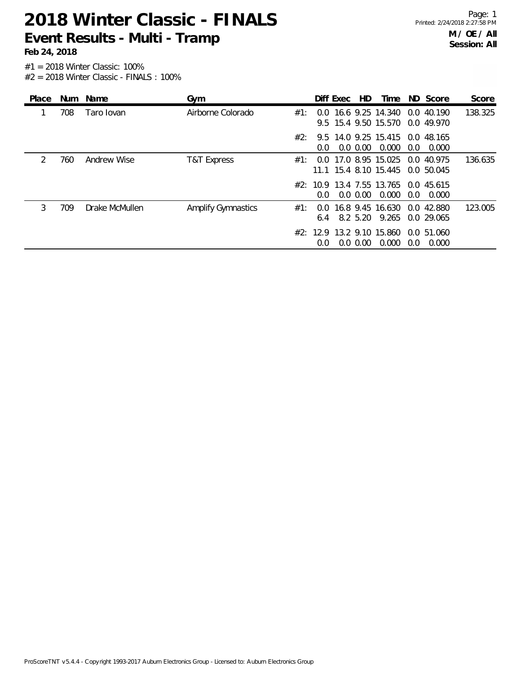**Feb 24, 2018**

| Place         |     | Num Name       | Gym                       |     |               | Diff Exec | HD.         | Time                                                  |     | ND Score                 | Score   |
|---------------|-----|----------------|---------------------------|-----|---------------|-----------|-------------|-------------------------------------------------------|-----|--------------------------|---------|
|               | 708 | Taro Iovan     | Airborne Colorado         | #1: |               |           |             | 0.0 16.6 9.25 14.340<br>9.5 15.4 9.50 15.570          |     | 0.0 40.190<br>0.0 49.970 | 138.325 |
|               |     |                |                           | #2: | $0.0^{\circ}$ |           | $0.0\,0.00$ | 9.5 14.0 9.25 15.415 0.0 48.165<br>0.000              | 0.0 | 0.000                    |         |
| $\mathcal{L}$ | 760 | Andrew Wise    | T&T Express               | #1∶ |               |           |             | 0.0 17.0 8.95 15.025<br>11.1 15.4 8.10 15.445         |     | 0.0 40.975<br>0.0 50.045 | 136.635 |
|               |     |                |                           |     | $0.0^{\circ}$ |           | $0.0\,0.00$ | #2: 10.9 13.4 7.55 13.765 0.0 45.615<br>0.000         | 0.0 | 0.000                    |         |
| 3             | 709 | Drake McMullen | <b>Amplify Gymnastics</b> | #1∶ |               |           |             | 0.0 16.8 9.45 16.630<br>6.4 8.2 5.20 9.265 0.0 29.065 |     | 0.0 42.880               | 123.005 |
|               |     |                |                           |     | 0.0           |           | $0.0\,0.00$ | #2: 12.9 13.2 9.10 15.860<br>0.000                    | 0.0 | 0.0 51.060<br>0.000      |         |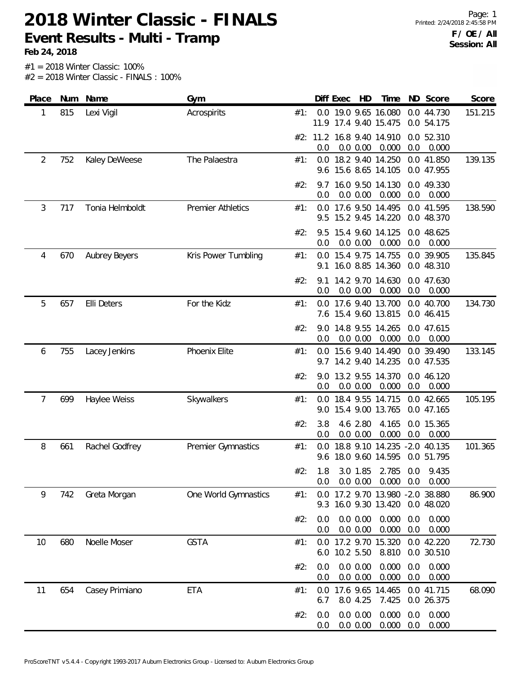**Feb 24, 2018**

| Place | Num | Name                 | Gym                      |     | Diff Exec<br>HD<br>Time<br>ND Score<br>Score                                              |
|-------|-----|----------------------|--------------------------|-----|-------------------------------------------------------------------------------------------|
| 1     | 815 | Lexi Vigil           | Acrospirits              | #1: | 0.0 19.0 9.65 16.080<br>0.0 44.730<br>151.215<br>11.9 17.4 9.40 15.475<br>0.0 54.175      |
|       |     |                      |                          |     | #2: 11.2 16.8 9.40 14.910<br>0.0 52.310<br>0.0<br>0.0<br>0.0 0.00<br>0.000<br>0.000       |
| 2     | 752 | Kaley DeWeese        | The Palaestra            | #1: | 0.0 18.2 9.40 14.250<br>0.0 41.850<br>139.135<br>9.6 15.6 8.65 14.105<br>0.0 47.955       |
|       |     |                      |                          | #2: | 16.0 9.50 14.130<br>0.0 49.330<br>9.7<br>0.0<br>0.0 0.00<br>0.000<br>0.0<br>0.000         |
| 3     | 717 | Tonia Helmboldt      | <b>Premier Athletics</b> | #1: | 0.0 17.6 9.50 14.495<br>0.0 41.595<br>138.590<br>15.2 9.45 14.220<br>0.0 48.370<br>9.5    |
|       |     |                      |                          | #2: | 15.4 9.60 14.125<br>0.0 48.625<br>9.5<br>0.0 0.00<br>0.000<br>0.0<br>0.0<br>0.000         |
| 4     | 670 | <b>Aubrey Beyers</b> | Kris Power Tumbling      | #1: | 15.4 9.75 14.755<br>0.0 39.905<br>135.845<br>0.0<br>16.0 8.85 14.360<br>0.0 48.310<br>9.1 |
|       |     |                      |                          | #2: | 14.2 9.70 14.630<br>0.0 47.630<br>9.1<br>0.000<br>0.0<br>0.0<br>0.0 0.00<br>0.000         |
| 5     | 657 | Elli Deters          | For the Kidz             | #1: | 0.0 17.6 9.40 13.700<br>134.730<br>0.0 40.700<br>7.6 15.4 9.60 13.815<br>0.0 46.415       |
|       |     |                      |                          | #2: | 14.8 9.55 14.265<br>0.0 47.615<br>9.0<br>0.0 0.00<br>0.000<br>0.0<br>0.000<br>0.0         |
| 6     | 755 | Lacey Jenkins        | Phoenix Elite            | #1: | 15.6 9.40 14.490<br>0.0 39.490<br>133.145<br>0.0<br>9.7 14.2 9.40 14.235<br>0.0 47.535    |
|       |     |                      |                          | #2: | 13.2 9.55 14.370<br>9.0<br>0.0 46.120<br>0.000<br>0.0<br>0.0<br>0.0 0.00<br>0.000         |
| 7     | 699 | Haylee Weiss         | Skywalkers               | #1: | 18.4 9.55 14.715<br>0.0 42.665<br>105.195<br>0.0<br>15.4 9.00 13.765<br>0.0 47.165<br>9.0 |
|       |     |                      |                          | #2: | 3.8<br>4.6 2.80<br>4.165<br>0.0 15.365<br>0.0 0.00<br>0.000<br>0.0<br>0.0<br>0.000        |
| 8     | 661 | Rachel Godfrey       | Premier Gymnastics       | #1: | 101.365<br>18.8 9.10 14.235 -2.0 40.135<br>0.0<br>18.0 9.60 14.595<br>0.0 51.795<br>9.6   |
|       |     |                      |                          | #2: | 1.8<br>3.0 1.85<br>2.785<br>0.0<br>9.435<br>0.0 0.00<br>0.000<br>0.0<br>0.000<br>0.0      |
| 9     | 742 | Greta Morgan         | One World Gymnastics     | #1: | 17.2 9.70 13.980 -2.0 38.880<br>86.900<br>0.0<br>16.0 9.30 13.420<br>0.0 48.020<br>9.3    |
|       |     |                      |                          | #2: | 0.000<br>0.0 0.00<br>0.0<br>0.000<br>0.0<br>0.0 0.00<br>0.000<br>0.0<br>0.000<br>0.0      |
| 10    | 680 | Noelle Moser         | <b>GSTA</b>              | #1: | 0.0 17.2 9.70 15.320<br>0.0 42.220<br>72.730<br>10.2 5.50<br>8.810<br>0.0 30.510<br>6.0   |
|       |     |                      |                          | #2: | 0.0 0.00<br>0.000<br>0.000<br>0.0<br>0.0<br>0.000<br>0.0 0.00<br>0.0<br>0.000<br>0.0      |
| 11    | 654 | Casey Primiano       | <b>ETA</b>               | #1: | 17.6 9.65 14.465<br>68.090<br>0.0 41.715<br>0.0<br>8.0 4.25<br>7.425<br>0.0 26.375<br>6.7 |
|       |     |                      |                          | #2: | 0.000<br>0.000<br>0.0 0.00<br>0.0<br>0.0<br>0.000<br>0.000<br>0.0 0.00<br>0.0<br>0.0      |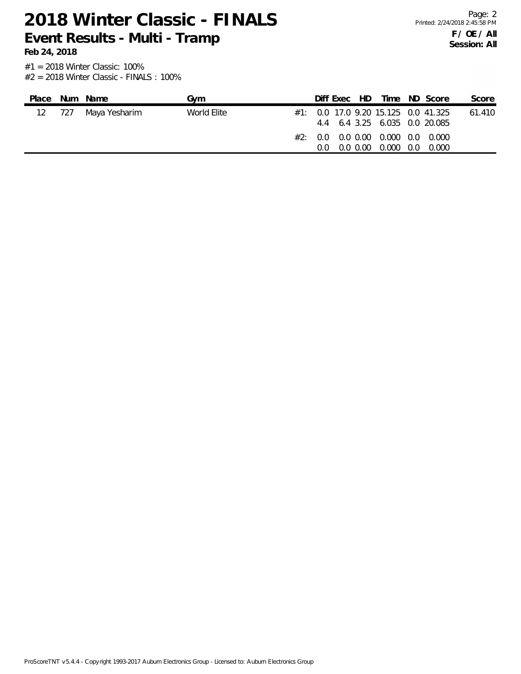#1 = 2018 Winter Classic: 100% **Feb 24, 2018**

#2 = 2018 Winter Classic - FINALS : 100%

| Place |     | Num Name      | Gvm         |     | Diff Exec HD |                                                                  | Time ND Score                           | Score  |
|-------|-----|---------------|-------------|-----|--------------|------------------------------------------------------------------|-----------------------------------------|--------|
| 12    | 727 | Maya Yesharim | World Elite |     |              | 4.4 6.4 3.25 6.035 0.0 20.085                                    | $\#1$ : 0.0 17.0 9.20 15.125 0.0 41.325 | 61.410 |
|       |     |               |             | (1) |              | $\#2$ : 0.0 0.0 0.00 0.000 0.0 0.000<br>0.0 0.00 0.000 0.0 0.000 |                                         |        |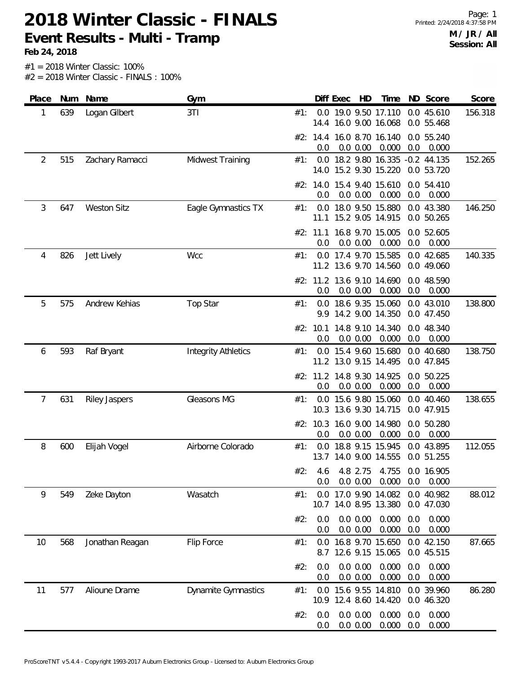**Feb 24, 2018**

| Place | Num | Name                 | Gym                        |     |                 | Diff Exec | HD                   | Time                                                      |            | ND Score                 | Score   |
|-------|-----|----------------------|----------------------------|-----|-----------------|-----------|----------------------|-----------------------------------------------------------|------------|--------------------------|---------|
| 1     | 639 | Logan Gilbert        | 3T1                        | #1: | 14.4            |           |                      | 0.0 19.0 9.50 17.110<br>16.0 9.00 16.068                  |            | 0.0 45.610<br>0.0 55.468 | 156.318 |
|       |     |                      |                            |     | 0.0             |           | 0.0 0.00             | #2: 14.4 16.0 8.70 16.140<br>0.000                        | 0.0        | 0.0 55.240<br>0.000      |         |
| 2     | 515 | Zachary Ramacci      | Midwest Training           | #1: |                 |           |                      | 0.0 18.2 9.80 16.335 -0.2 44.135<br>14.0 15.2 9.30 15.220 |            | 0.0 53.720               | 152.265 |
|       |     |                      |                            |     | 0.0             |           | 0.0 0.00             | #2: 14.0 15.4 9.40 15.610<br>0.000                        | 0.0        | 0.0 54.410<br>0.000      |         |
| 3     | 647 | <b>Weston Sitz</b>   | Eagle Gymnastics TX        | #1: | 0.0             |           |                      | 18.0 9.50 15.880<br>11.1 15.2 9.05 14.915                 |            | 0.0 43.380<br>0.0 50.265 | 146.250 |
|       |     |                      |                            |     | 0.0             |           | 0.0 0.00             | #2: 11.1 16.8 9.70 15.005<br>0.000                        | 0.0        | 0.0 52.605<br>0.000      |         |
| 4     | 826 | Jett Lively          | Wcc                        | #1: | 0.0             |           |                      | 17.4 9.70 15.585<br>11.2 13.6 9.70 14.560                 |            | 0.0 42.685<br>0.0 49.060 | 140.335 |
|       |     |                      |                            |     | 0.0             |           | 0.0 0.00             | #2: 11.2 13.6 9.10 14.690<br>0.000                        | 0.0        | 0.0 48.590<br>0.000      |         |
| 5     | 575 | Andrew Kehias        | <b>Top Star</b>            | #1: |                 |           |                      | 0.0 18.6 9.35 15.060<br>9.9 14.2 9.00 14.350              |            | 0.0 43.010<br>0.0 47.450 | 138.800 |
|       |     |                      |                            |     | #2: 10.1<br>0.0 |           | 0.0 0.00             | 14.8 9.10 14.340<br>0.000                                 | 0.0        | 0.0 48.340<br>0.000      |         |
| 6     | 593 | Raf Bryant           | <b>Integrity Athletics</b> | #1: |                 |           |                      | 0.0 15.4 9.60 15.680<br>11.2 13.0 9.15 14.495             |            | 0.0 40.680<br>0.0 47.845 | 138.750 |
|       |     |                      |                            |     | 0.0             |           | 0.0 0.00             | #2: 11.2 14.8 9.30 14.925<br>0.000                        | 0.0        | 0.0 50.225<br>0.000      |         |
| 7     | 631 | <b>Riley Jaspers</b> | Gleasons MG                | #1: | 0.0             |           |                      | 15.6 9.80 15.060<br>10.3 13.6 9.30 14.715                 |            | 0.0 40.460<br>0.0 47.915 | 138.655 |
|       |     |                      |                            |     | 0.0             |           | 0.0 0.00             | #2: 10.3 16.0 9.00 14.980<br>0.000                        | 0.0        | 0.0 50.280<br>0.000      |         |
| 8     | 600 | Elijah Vogel         | Airborne Colorado          | #1: | 0.0<br>13.7     |           |                      | 18.8 9.15 15.945<br>14.0 9.00 14.555                      |            | 0.0 43.895<br>0.0 51.255 | 112.055 |
|       |     |                      |                            | #2: | 4.6<br>0.0      |           | 4.8 2.75<br>0.0 0.00 | 4.755<br>0.000                                            | 0.0        | 0.0 16.905<br>0.000      |         |
| 9     | 549 | Zeke Dayton          | Wasatch                    | #1: | 0.0             |           |                      | 17.0 9.90 14.082<br>10.7 14.0 8.95 13.380                 |            | 0.0 40.982<br>0.0 47.030 | 88.012  |
|       |     |                      |                            | #2: | 0.0<br>0.0      |           | 0.0 0.00<br>0.0 0.00 | 0.000<br>0.000                                            | 0.0<br>0.0 | 0.000<br>0.000           |         |
| 10    | 568 | Jonathan Reagan      | Flip Force                 | #1: | 8.7             |           |                      | 0.0 16.8 9.70 15.650<br>12.6 9.15 15.065                  |            | 0.0 42.150<br>0.0 45.515 | 87.665  |
|       |     |                      |                            | #2: | 0.0<br>0.0      |           | 0.0 0.00<br>0.0 0.00 | 0.000<br>0.000                                            | 0.0<br>0.0 | 0.000<br>0.000           |         |
| 11    | 577 | Alioune Drame        | Dynamite Gymnastics        | #1: | 0.0             |           |                      | 15.6 9.55 14.810<br>10.9 12.4 8.60 14.420                 |            | 0.0 39.960<br>0.0 46.320 | 86.280  |
|       |     |                      |                            | #2: | 0.0<br>0.0      |           | 0.0 0.00<br>0.0 0.00 | 0.000<br>0.000                                            | 0.0<br>0.0 | 0.000<br>0.000           |         |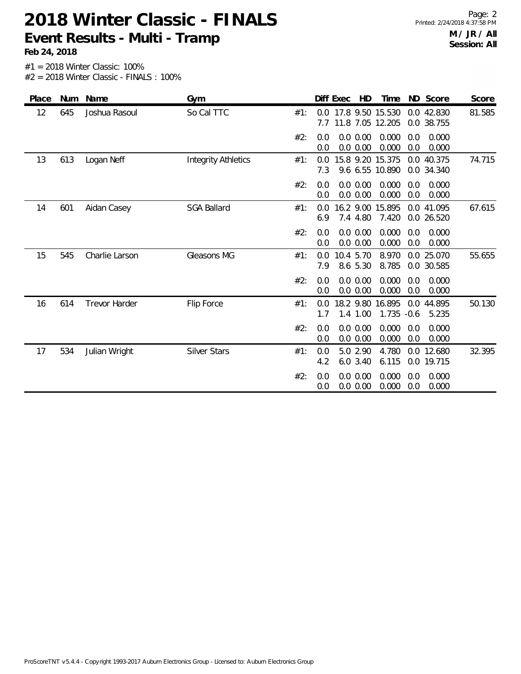**Feb 24, 2018**

Page: 2 Printed: 2/24/2018 4:37:58 PM **M / JR / All Session: All**

| Place | Num | Name                 | Gym                        |     |            | Diff Exec | HD                      | Time                                 |               | ND Score                 | Score  |
|-------|-----|----------------------|----------------------------|-----|------------|-----------|-------------------------|--------------------------------------|---------------|--------------------------|--------|
| 12    | 645 | Joshua Rasoul        | So Cal TTC                 | #1: | 0.0<br>7.7 |           |                         | 17.8 9.50 15.530<br>11.8 7.05 12.205 |               | 0.0 42.830<br>0.0 38.755 | 81.585 |
|       |     |                      |                            | #2: | 0.0<br>0.0 |           | 0.0 0.00<br>0.0 0.00    | 0.000<br>0.000                       | 0.0<br>0.0    | 0.000<br>0.000           |        |
| 13    | 613 | Logan Neff           | <b>Integrity Athletics</b> | #1: | 0.0<br>7.3 |           |                         | 15.8 9.20 15.375<br>9.6 6.55 10.890  | 0.0           | 40.375<br>0.0 34.340     | 74.715 |
|       |     |                      |                            | #2: | 0.0<br>0.0 |           | 0.0 0.00<br>0.0 0.00    | 0.000<br>0.000                       | 0.0<br>0.0    | 0.000<br>0.000           |        |
| 14    | 601 | Aidan Casey          | <b>SGA Ballard</b>         | #1: | 0.0<br>6.9 |           | 16.2 9.00<br>7.4 4.80   | 15.895<br>7.420                      | 0.0           | 41.095<br>0.0 26.520     | 67.615 |
|       |     |                      |                            | #2: | 0.0<br>0.0 |           | 0.0 0.00<br>0.0 0.00    | 0.000<br>0.000                       | 0.0<br>0.0    | 0.000<br>0.000           |        |
| 15    | 545 | Charlie Larson       | Gleasons MG                | #1: | 0.0<br>7.9 |           | 10.4 5.70<br>8.6 5.30   | 8.970<br>8.785                       |               | 0.0 25.070<br>0.0 30.585 | 55.655 |
|       |     |                      |                            | #2: | 0.0<br>0.0 |           | $0.0\ 0.00$<br>0.0 0.00 | 0.000<br>0.000                       | 0.0<br>0.0    | 0.000<br>0.000           |        |
| 16    | 614 | <b>Trevor Harder</b> | Flip Force                 | #1: | 0.0<br>1.7 |           | 1.4 1.00                | 18.2 9.80 16.895<br>1.735            | 0.0<br>$-0.6$ | 44.895<br>5.235          | 50.130 |
|       |     |                      |                            | #2: | 0.0<br>0.0 |           | 0.0 0.00<br>0.0 0.00    | 0.000<br>0.000                       | 0.0<br>0.0    | 0.000<br>0.000           |        |
| 17    | 534 | Julian Wright        | <b>Silver Stars</b>        | #1: | 0.0<br>4.2 |           | 5.0 2.90<br>6.0 3.40    | 4.780<br>6.115                       |               | 0.0 12.680<br>0.0 19.715 | 32.395 |
|       |     |                      |                            | #2: | 0.0<br>0.0 |           | 0.0 0.00<br>0.0 0.00    | 0.000<br>0.000                       | 0.0<br>0.0    | 0.000<br>0.000           |        |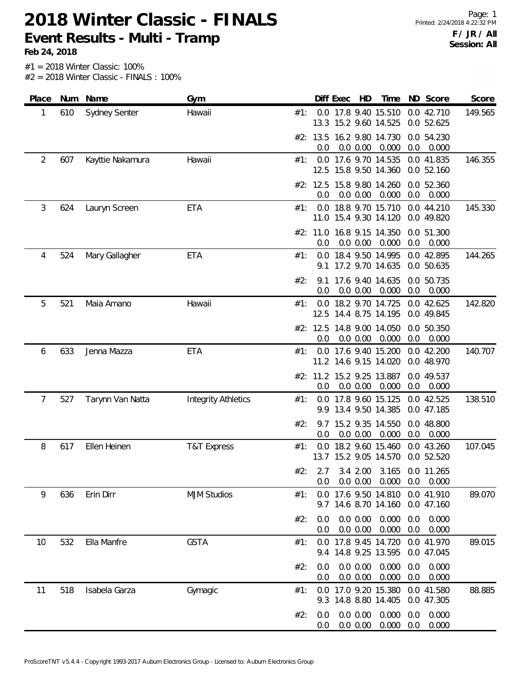**Feb 24, 2018**

Page: 1 Printed: 2/24/2018 4:22:32 PM **F / JR / All Session: All**

| Place                 | Num | Name             | Gym                        |     |                 | Diff Exec | HD                   | Time                                          |            | ND Score                 | Score   |
|-----------------------|-----|------------------|----------------------------|-----|-----------------|-----------|----------------------|-----------------------------------------------|------------|--------------------------|---------|
| 1                     | 610 | Sydney Senter    | Hawaii                     | #1: |                 |           |                      | 0.0 17.8 9.40 15.510<br>13.3 15.2 9.60 14.525 |            | 0.0 42.710<br>0.0 52.625 | 149.565 |
|                       |     |                  |                            |     | 0.0             |           | 0.0 0.00             | #2: 13.5 16.2 9.80 14.730<br>0.000            | 0.0        | 0.0 54.230<br>0.000      |         |
| $\overline{2}$<br>607 |     | Kayttie Nakamura | Hawaii                     | #1: | 12.5            |           |                      | 0.0 17.6 9.70 14.535<br>15.8 9.50 14.360      |            | 0.0 41.835<br>0.0 52.160 | 146.355 |
|                       |     |                  |                            |     | 0.0             |           | 0.0 0.00             | #2: 12.5 15.8 9.80 14.260<br>0.000            | 0.0        | 0.0 52.360<br>0.000      |         |
| 3                     | 624 | Lauryn Screen    | ETA                        | #1: | 0.0             |           |                      | 18.8 9.70 15.710<br>11.0 15.4 9.30 14.120     |            | 0.0 44.210<br>0.0 49.820 | 145.330 |
|                       |     |                  |                            |     | 0.0             |           | 0.0 0.00             | #2: 11.0 16.8 9.15 14.350<br>0.000            | 0.0        | 0.0 51.300<br>0.000      |         |
| 4                     | 524 | Mary Gallagher   | ETA                        | #1: | 9.1             |           |                      | 0.0 18.4 9.50 14.995<br>17.2 9.70 14.635      |            | 0.0 42.895<br>0.0 50.635 | 144.265 |
|                       |     |                  |                            | #2: | 9.1<br>0.0      |           | 0.0 0.00             | 17.6 9.40 14.635<br>0.000                     | 0.0        | 0.0 50.735<br>0.000      |         |
| 5                     | 521 | Maia Amano       | Hawaii                     | #1: |                 |           |                      | 0.0 18.2 9.70 14.725<br>12.5 14.4 8.75 14.195 |            | 0.0 42.625<br>0.0 49.845 | 142.820 |
|                       |     |                  |                            |     | #2: 12.5<br>0.0 |           | 0.0 0.00             | 14.8 9.00 14.050<br>0.000                     | 0.0        | 0.0 50.350<br>0.000      |         |
| 6                     | 633 | Jenna Mazza      | <b>ETA</b>                 | #1: |                 |           |                      | 0.0 17.6 9.40 15.200<br>11.2 14.6 9.15 14.020 |            | 0.0 42.200<br>0.0 48.970 | 140.707 |
|                       |     |                  |                            |     | 0.0             |           | 0.0 0.00             | #2: 11.2 15.2 9.25 13.887<br>0.000            | 0.0        | 0.0 49.537<br>0.000      |         |
| 7                     | 527 | Tarynn Van Natta | <b>Integrity Athletics</b> | #1: |                 |           |                      | 0.0 17.8 9.60 15.125<br>9.9 13.4 9.50 14.385  |            | 0.0 42.525<br>0.0 47.185 | 138.510 |
|                       |     |                  |                            | #2: | 9.7<br>0.0      |           | 0.0 0.00             | 15.2 9.35 14.550<br>0.000                     | 0.0        | 0.0 48.800<br>0.000      |         |
| 8                     | 617 | Ellen Heinen     | T&T Express                | #1: | 0.0             |           |                      | 18.2 9.60 15.460<br>13.7 15.2 9.05 14.570     |            | 0.0 43.260<br>0.0 52.520 | 107.045 |
|                       |     |                  |                            | #2: | 2.7<br>0.0      |           | 3.4 2.00<br>0.0 0.00 | 3.165<br>0.000                                | 0.0        | 0.0 11.265<br>0.000      |         |
| 9                     | 636 | Erin Dirr        | <b>MJM Studios</b>         | #1: | 0.0<br>9.7      |           |                      | 17.6 9.50 14.810<br>14.6 8.70 14.160          |            | 0.0 41.910<br>0.0 47.160 | 89.070  |
|                       |     |                  |                            | #2: | 0.0<br>0.0      |           | 0.0 0.00<br>0.0 0.00 | 0.000<br>0.000                                | 0.0<br>0.0 | 0.000<br>0.000           |         |
| 532<br>10             |     | Ella Manfre      | <b>GSTA</b>                | #1: | 0.0             |           |                      | 17.8 9.45 14.720<br>9.4 14.8 9.25 13.595      |            | 0.0 41.970<br>0.0 47.045 | 89.015  |
|                       |     |                  |                            | #2: | 0.0<br>0.0      |           | 0.0 0.00<br>0.0 0.00 | 0.000<br>0.000                                | 0.0<br>0.0 | 0.000<br>0.000           |         |
| 11                    | 518 | Isabela Garza    | Gymagic                    | #1: | 0.0<br>9.3      |           |                      | 17.0 9.20 15.380<br>14.8 8.80 14.405          |            | 0.0 41.580<br>0.0 47.305 | 88.885  |
|                       |     |                  |                            | #2: | 0.0<br>0.0      |           | 0.0 0.00<br>0.0 0.00 | 0.000<br>0.000                                | 0.0<br>0.0 | 0.000<br>0.000           |         |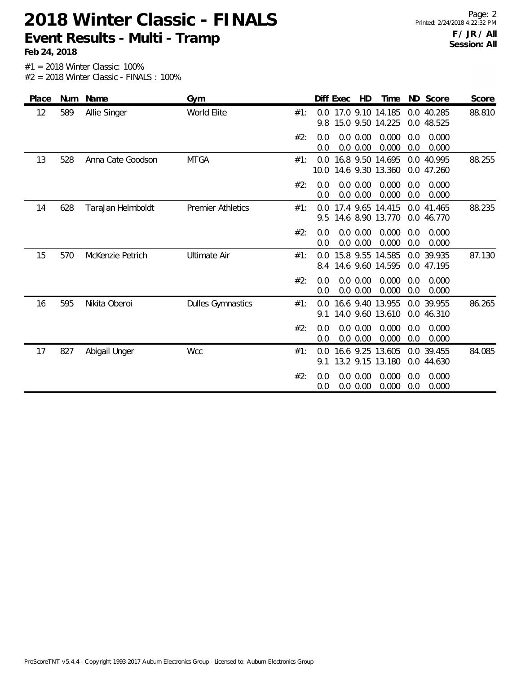**Feb 24, 2018**

| Place | Num | Name              | Gym                      | Diff Exec<br><b>HD</b><br>ND Score<br>Time<br>Score                                                       |
|-------|-----|-------------------|--------------------------|-----------------------------------------------------------------------------------------------------------|
| 12    | 589 | Allie Singer      | World Elite              | 88.810<br>0.0 17.0 9.10 14.185<br>0.0 40.285<br>#1:<br>15.0 9.50 14.225<br>9.8<br>0.0 48.525              |
|       |     |                   |                          | 0.0 0.00<br>0.000<br>#2:<br>0.000<br>0.0<br>0.0<br>0.000<br>0.0<br>0.0 0.00<br>0.0<br>0.000               |
| 13    | 528 | Anna Cate Goodson | <b>MTGA</b>              | 16.8 9.50 14.695<br>0.0 40.995<br>88.255<br>#1:<br>0.0<br>10.0<br>14.6 9.30 13.360<br>0.0 47.260          |
|       |     |                   |                          | 0.000<br>#2:<br>0.0 0.00<br>0.000<br>0.0<br>0.0<br>0.000<br>0.0 0.00<br>0.0<br>0.000<br>0.0               |
| 14    | 628 | TaraJan Helmboldt | <b>Premier Athletics</b> | 17.4 9.65 14.415<br>88.235<br>#1:<br>0.0 41.465<br>0.0<br>14.6 8.90 13.770<br>0.0 46.770<br>9.5           |
|       |     |                   |                          | #2:<br>0.000<br>0.0 0.00<br>0.000<br>0.0<br>0.0<br>0.0 0.00<br>0.000<br>0.0<br>0.000<br>0.0               |
| 15    | 570 | McKenzie Petrich  | <b>Ultimate Air</b>      | 15.8 9.55 14.585<br>87.130<br>0.0 39.935<br>#1:<br>$0.0^{\circ}$<br>14.6 9.60 14.595<br>0.0 47.195<br>8.4 |
|       |     |                   |                          | #2:<br>0.0 0.00<br>0.000<br>0.000<br>0.0<br>0.0<br>0.0 0.00<br>0.000<br>0.0<br>0.000<br>0.0               |
| 16    | 595 | Nikita Oberoi     | <b>Dulles Gymnastics</b> | 16.6 9.40 13.955<br>0.0 39.955<br>86.265<br>#1:<br>0.0<br>14.0 9.60 13.610<br>0.0 46.310<br>9.1           |
|       |     |                   |                          | #2:<br>0.0 0.00<br>0.000<br>0.000<br>0.0<br>0.0<br>0.000<br>0.000<br>0.0 0.00<br>0.0<br>0.0               |
| 17    | 827 | Abigail Unger     | <b>Wcc</b>               | 16.6 9.25 13.605<br>#1:<br>0.0 39.455<br>84.085<br>0.0<br>13.2 9.15 13.180<br>0.0 44.630<br>9.1           |
|       |     |                   |                          | #2:<br>0.0 0.00<br>0.000<br>0.000<br>0.0<br>0.0<br>0.0 0.00<br>0.000<br>0.000<br>0.0<br>0.0               |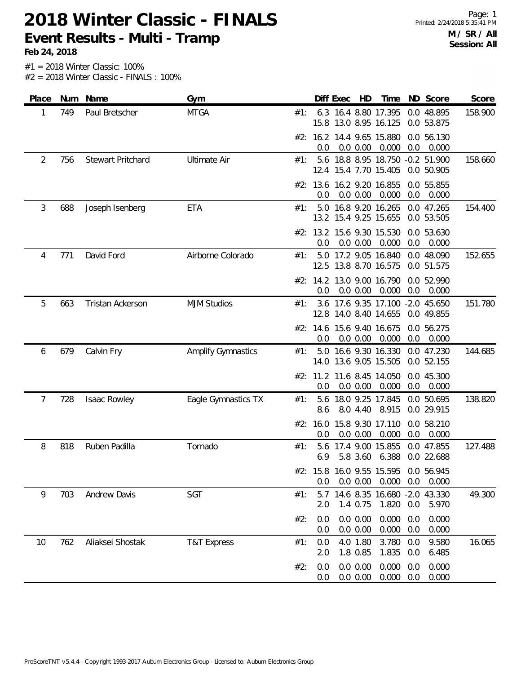| Place          | Num | Name                     | Gym                       |                   | Diff Exec<br>HD                                           | Time           | ND<br>Score                                  | Score   |
|----------------|-----|--------------------------|---------------------------|-------------------|-----------------------------------------------------------|----------------|----------------------------------------------|---------|
| 1              | 749 | Paul Bretscher           | <b>MTGA</b>               | #1:               | 6.3 16.4 8.80 17.395<br>15.8 13.0 8.95 16.125             |                | 0.0 48.895<br>0.0 53.875                     | 158.900 |
|                |     |                          |                           | 0.0               | #2: 16.2 14.4 9.65 15.880<br>0.0 0.00                     | 0.000          | 0.0 56.130<br>0.0<br>0.000                   |         |
| $\overline{2}$ | 756 | <b>Stewart Pritchard</b> | <b>Ultimate Air</b>       | #1:               | 5.6 18.8 8.95 18.750 -0.2 51.900<br>12.4 15.4 7.70 15.405 |                | 0.0 50.905                                   | 158.660 |
|                |     |                          |                           | 0.0               | #2: 13.6 16.2 9.20 16.855<br>0.0 0.00                     | 0.000          | 0.0 55.855<br>0.0<br>0.000                   |         |
| 3<br>688       |     | Joseph Isenberg          | ETA                       | #1:               | 5.0 16.8 9.20 16.265<br>13.2 15.4 9.25 15.655             |                | 0.0 47.265<br>0.0 53.505                     | 154.400 |
|                |     |                          |                           | 0.0               | #2: 13.2 15.6 9.30 15.530<br>0.0 0.00                     | 0.000          | 0.0 53.630<br>0.0<br>0.000                   |         |
| 771<br>4       |     | David Ford               | Airborne Colorado         | #1:               | 5.0 17.2 9.05 16.840<br>12.5 13.8 8.70 16.575             |                | 0.0 48.090<br>0.0 51.575                     | 152.655 |
|                |     |                          |                           | 0.0               | #2: 14.2 13.0 9.00 16.790<br>0.0 0.00                     | 0.000          | 0.0 52.990<br>0.0<br>0.000                   |         |
| 5              | 663 | <b>Tristan Ackerson</b>  | <b>MJM Studios</b>        | #1:               | 3.6 17.6 9.35 17.100 -2.0 45.650<br>12.8 14.0 8.40 14.655 |                | 0.0 49.855                                   | 151.780 |
|                |     |                          |                           | 0.0               | #2: 14.6 15.6 9.40 16.675<br>0.0 0.00                     | 0.000          | 0.0 56.275<br>0.0<br>0.000                   |         |
| 6              | 679 | Calvin Fry               | <b>Amplify Gymnastics</b> | #1:               | 5.0 16.6 9.30 16.330<br>14.0 13.6 9.05 15.505             |                | 0.0 47.230<br>0.0 52.155                     | 144.685 |
|                |     |                          |                           | 0.0               | #2: 11.2 11.6 8.45 14.050<br>0.0 0.00                     | 0.000          | 0.0 45.300<br>0.0<br>0.000                   |         |
| 7              | 728 | Isaac Rowley             | Eagle Gymnastics TX       | #1:<br>8.6        | 18.0 9.25 17.845<br>5.6<br>8.0 4.40                       | 8.915          | 0.0 50.695<br>0.0 29.915                     | 138.820 |
|                |     |                          |                           | #2: 16.0<br>0.0   | 15.8 9.30 17.110<br>0.0 0.00                              | 0.000          | 0.0 58.210<br>0.0<br>0.000                   |         |
| 8              | 818 | Ruben Padilla            | Tornado                   | #1:<br>5.6<br>6.9 | 17.4 9.00 15.855<br>5.8 3.60                              | 6.388          | 0.0 47.855<br>0.0 22.688                     | 127.488 |
|                |     |                          |                           | 0.0               | #2: 15.8 16.0 9.55 15.595<br>0.0 0.00                     | 0.000          | 0.0 56.945<br>0.000<br>0.0                   |         |
| 9              | 703 | <b>Andrew Davis</b>      | SGT                       | #1:<br>5.7<br>2.0 | 1.4 0.75                                                  | 1.820          | 14.6 8.35 16.680 -2.0 43.330<br>0.0<br>5.970 | 49.300  |
|                |     |                          |                           | #2:<br>0.0<br>0.0 | 0.0 0.00<br>0.0 0.00                                      | 0.000<br>0.000 | 0.000<br>0.0<br>0.000<br>0.0                 |         |
| 10             | 762 | Aliaksei Shostak         | <b>T&amp;T Express</b>    | #1:<br>0.0<br>2.0 | 4.0 1.80<br>1.8 0.85                                      | 3.780<br>1.835 | 9.580<br>0.0<br>6.485<br>0.0                 | 16.065  |
|                |     |                          |                           | #2:<br>0.0<br>0.0 | 0.0 0.00<br>0.0 0.00                                      | 0.000<br>0.000 | 0.000<br>0.0<br>0.000<br>0.0                 |         |
|                |     |                          |                           |                   |                                                           |                |                                              |         |